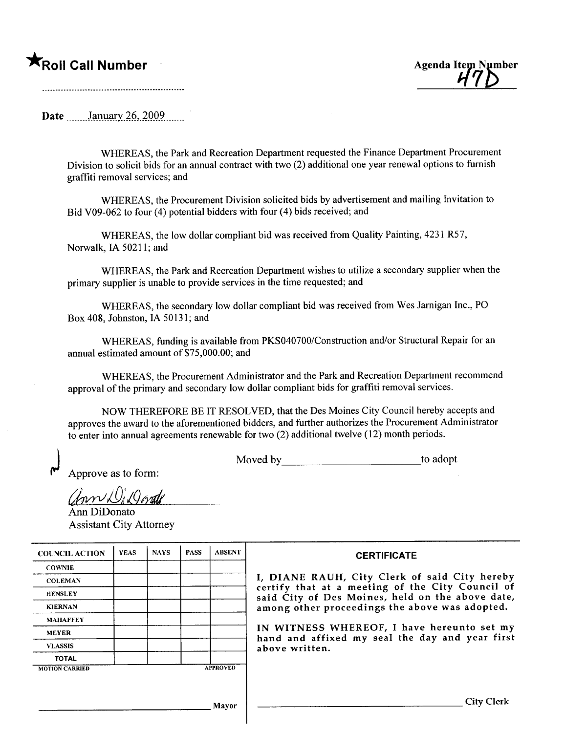## $\mathbf{r}_{\text{Roll Call Number}}$



Date January 26, 2009

WHEREAS, the Park and Recreation Department requested the Finance Department Procurement Division to solicit bids for an annual contract with two (2) additional one year renewal options to furnish graffiti removal services; and

WHEREAS, the Procurement Division solicited bids by advertisement and mailing Invitation to Bid V09-062 to four (4) potential bidders with four (4) bids received; and

WHEREAS, the low dollar compliant bid was received from Quality Painting, 4231 R57, Norwalk, IA 50211; and

WHEREAS, the Park and Recreation Department wishes to utilize a secondary supplier when the primary supplier is unable to provide services in the time requested; and

WHEREAS, the secondary low dollar compliant bid was received from Wes Jarnigan Inc., PO Box 408, Johnston, IA 50131; and

WHEREAS, funding is available from PKS040700/Construction and/or Structural Repair for an annual estimated amount of \$75,000.00; and

WHEREAS, the Procurement Administrator and the Park and Recreation Department recommend approval of the primary and secondary low dollar compliant bids for graffiti removal services.

NOW THEREFORE BE IT RESOLVED, that the Des Moines City Council hereby accepts and approves the award to the aforementioned bidders, and further authorizes the Procurement Administrator to enter into annual agreements renewable for two  $(2)$  additional twelve  $(12)$  month periods.

Moved by \_\_\_\_\_\_\_\_\_\_\_\_\_\_\_\_\_\_\_\_\_\_\_\_\_\_\_\_\_\_\_\_\_\_to adopt

Approve as to form:

ann DiQorati

Ann DiDonato **Assistant City Attorney** 

| <b>COUNCIL ACTION</b> | <b>YEAS</b> | <b>NAYS</b>     | <b>PASS</b> | <b>ABSENT</b> |
|-----------------------|-------------|-----------------|-------------|---------------|
| <b>COWNIE</b>         |             |                 |             |               |
| <b>COLEMAN</b>        |             |                 |             |               |
| <b>HENSLEY</b>        |             |                 |             |               |
| <b>KIERNAN</b>        |             |                 |             |               |
| <b>MAHAFFEY</b>       |             |                 |             |               |
| <b>MEYER</b>          |             |                 |             |               |
| <b>VLASSIS</b>        |             |                 |             |               |
| <b>TOTAL</b>          |             |                 |             |               |
| <b>MOTION CARRIED</b> |             | <b>APPROVED</b> |             |               |

## **CERTIFICATE**

I, DIANE RAUH, City Clerk of said City hereby<br>certify that at a meeting of the City Council of<br>said City of Des Moines, held on the above date, among other proceedings the above was adopted.

IN WITNESS WHEREOF, I have hereunto set my hand and affixed my seal the day and year first above written.

Mayor